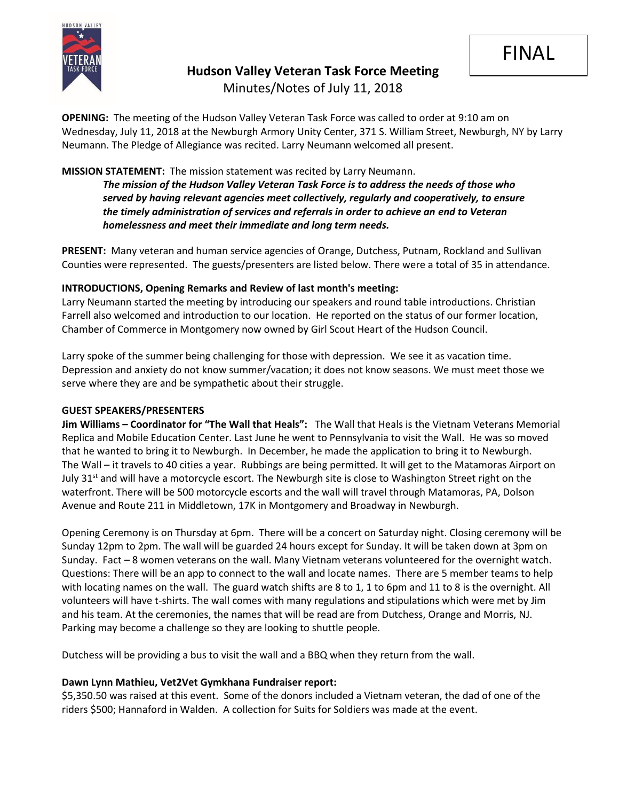

# **Hudson Valley Veteran Task Force Meeting**

Minutes/Notes of July 11, 2018

**OPENING:** The meeting of the Hudson Valley Veteran Task Force was called to order at 9:10 am on Wednesday, July 11, 2018 at the Newburgh Armory Unity Center, 371 S. William Street, Newburgh, NY by Larry Neumann. The Pledge of Allegiance was recited. Larry Neumann welcomed all present.

# **MISSION STATEMENT:** The mission statement was recited by Larry Neumann.

*The mission of the Hudson Valley Veteran Task Force is to address the needs of those who served by having relevant agencies meet collectively, regularly and cooperatively, to ensure the timely administration of services and referrals in order to achieve an end to Veteran homelessness and meet their immediate and long term needs.* 

**PRESENT:** Many veteran and human service agencies of Orange, Dutchess, Putnam, Rockland and Sullivan Counties were represented. The guests/presenters are listed below. There were a total of 35 in attendance.

## **INTRODUCTIONS, Opening Remarks and Review of last month's meeting:**

Larry Neumann started the meeting by introducing our speakers and round table introductions. Christian Farrell also welcomed and introduction to our location. He reported on the status of our former location, Chamber of Commerce in Montgomery now owned by Girl Scout Heart of the Hudson Council.

Larry spoke of the summer being challenging for those with depression. We see it as vacation time. Depression and anxiety do not know summer/vacation; it does not know seasons. We must meet those we serve where they are and be sympathetic about their struggle.

#### **GUEST SPEAKERS/PRESENTERS**

**Jim Williams – Coordinator for "The Wall that Heals":** The Wall that Heals is the Vietnam Veterans Memorial Replica and Mobile Education Center. Last June he went to Pennsylvania to visit the Wall. He was so moved that he wanted to bring it to Newburgh. In December, he made the application to bring it to Newburgh. The Wall – it travels to 40 cities a year. Rubbings are being permitted. It will get to the Matamoras Airport on July 31<sup>st</sup> and will have a motorcycle escort. The Newburgh site is close to Washington Street right on the waterfront. There will be 500 motorcycle escorts and the wall will travel through Matamoras, PA, Dolson Avenue and Route 211 in Middletown, 17K in Montgomery and Broadway in Newburgh.

Opening Ceremony is on Thursday at 6pm. There will be a concert on Saturday night. Closing ceremony will be Sunday 12pm to 2pm. The wall will be guarded 24 hours except for Sunday. It will be taken down at 3pm on Sunday. Fact – 8 women veterans on the wall. Many Vietnam veterans volunteered for the overnight watch. Questions: There will be an app to connect to the wall and locate names. There are 5 member teams to help with locating names on the wall. The guard watch shifts are 8 to 1, 1 to 6pm and 11 to 8 is the overnight. All volunteers will have t-shirts. The wall comes with many regulations and stipulations which were met by Jim and his team. At the ceremonies, the names that will be read are from Dutchess, Orange and Morris, NJ. Parking may become a challenge so they are looking to shuttle people.

Dutchess will be providing a bus to visit the wall and a BBQ when they return from the wall.

## **Dawn Lynn Mathieu, Vet2Vet Gymkhana Fundraiser report:**

\$5,350.50 was raised at this event. Some of the donors included a Vietnam veteran, the dad of one of the riders \$500; Hannaford in Walden. A collection for Suits for Soldiers was made at the event.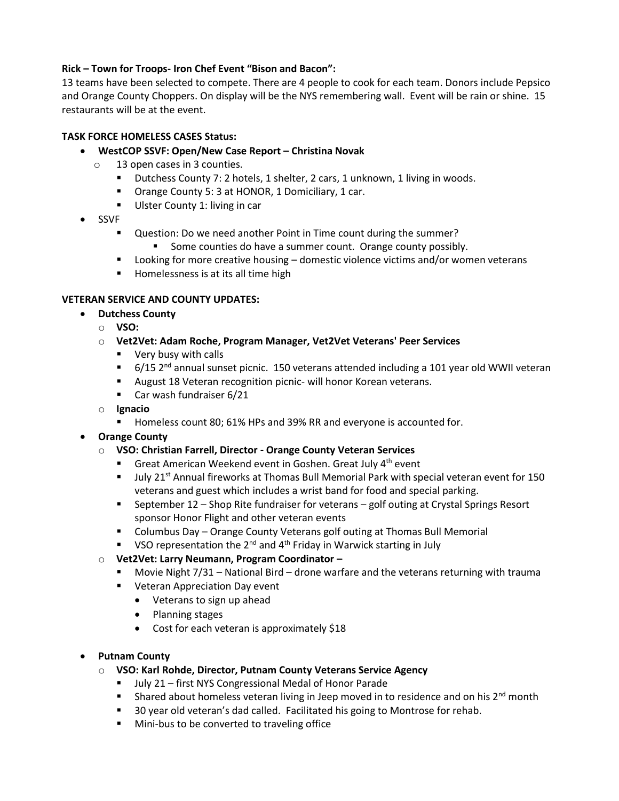## **Rick – Town for Troops- Iron Chef Event "Bison and Bacon":**

13 teams have been selected to compete. There are 4 people to cook for each team. Donors include Pepsico and Orange County Choppers. On display will be the NYS remembering wall. Event will be rain or shine. 15 restaurants will be at the event.

### **TASK FORCE HOMELESS CASES Status:**

- **WestCOP SSVF: Open/New Case Report – Christina Novak**
	- o 13 open cases in 3 counties.
		- Dutchess County 7: 2 hotels, 1 shelter, 2 cars, 1 unknown, 1 living in woods.
		- Orange County 5: 3 at HONOR, 1 Domiciliary, 1 car.
		- Ulster County 1: living in car
- SSVF
	- Question: Do we need another Point in Time count during the summer?
		- Some counties do have a summer count. Orange county possibly.
	- Looking for more creative housing domestic violence victims and/or women veterans
	- Homelessness is at its all time high

### **VETERAN SERVICE AND COUNTY UPDATES:**

- **Dutchess County**
	- o **VSO:** 
		- o **Vet2Vet: Adam Roche, Program Manager, Vet2Vet Veterans' Peer Services**
			- Very busy with calls
			- 6/15 2<sup>nd</sup> annual sunset picnic. 150 veterans attended including a 101 year old WWII veteran
			- August 18 Veteran recognition picnic- will honor Korean veterans.
			- Car wash fundraiser 6/21
		- o **Ignacio**
			- Homeless count 80; 61% HPs and 39% RR and everyone is accounted for.
- **Orange County**
	- o **VSO: Christian Farrell, Director - Orange County Veteran Services**
		- Great American Weekend event in Goshen. Great July 4<sup>th</sup> event
		- July 21<sup>st</sup> Annual fireworks at Thomas Bull Memorial Park with special veteran event for 150 veterans and guest which includes a wrist band for food and special parking.
		- September 12 Shop Rite fundraiser for veterans golf outing at Crystal Springs Resort sponsor Honor Flight and other veteran events
		- Columbus Day Orange County Veterans golf outing at Thomas Bull Memorial
		- VSO representation the  $2^{nd}$  and  $4^{th}$  Friday in Warwick starting in July
	- o **Vet2Vet: Larry Neumann, Program Coordinator –**
		- Movie Night 7/31 National Bird drone warfare and the veterans returning with trauma
		- Veteran Appreciation Day event
			- Veterans to sign up ahead
			- Planning stages
			- Cost for each veteran is approximately \$18

#### • **Putnam County**

- o **VSO: Karl Rohde, Director, Putnam County Veterans Service Agency**
	- July 21 first NYS Congressional Medal of Honor Parade
	- **EXECT** Shared about homeless veteran living in Jeep moved in to residence and on his  $2^{nd}$  month
	- 30 year old veteran's dad called. Facilitated his going to Montrose for rehab.
	- Mini-bus to be converted to traveling office